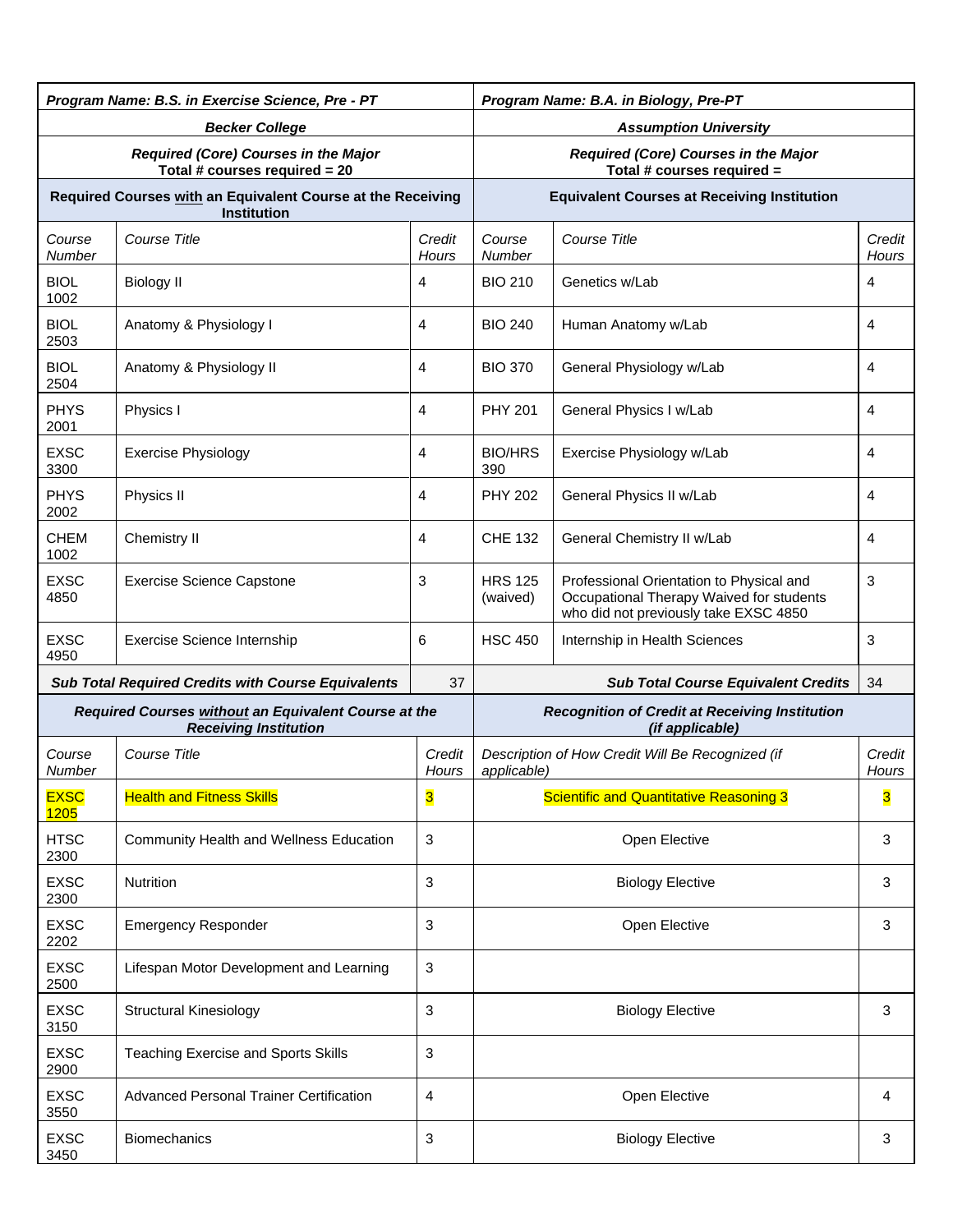| Program Name: B.S. in Exercise Science, Pre - PT                      |                                                                                      | Program Name: B.A. in Biology, Pre-PT |                                                                    |                                                                                                                               |                        |  |  |
|-----------------------------------------------------------------------|--------------------------------------------------------------------------------------|---------------------------------------|--------------------------------------------------------------------|-------------------------------------------------------------------------------------------------------------------------------|------------------------|--|--|
| <b>Becker College</b>                                                 |                                                                                      |                                       | <b>Assumption University</b>                                       |                                                                                                                               |                        |  |  |
| Required (Core) Courses in the Major<br>Total # courses required = 20 |                                                                                      |                                       | Required (Core) Courses in the Major<br>Total # courses required = |                                                                                                                               |                        |  |  |
|                                                                       | Required Courses with an Equivalent Course at the Receiving<br><b>Institution</b>    |                                       | <b>Equivalent Courses at Receiving Institution</b>                 |                                                                                                                               |                        |  |  |
| Course<br><b>Number</b>                                               | Course Title                                                                         | Credit<br>Hours                       | Course Title<br>Course<br>Number                                   |                                                                                                                               | Credit<br><b>Hours</b> |  |  |
| <b>BIOL</b><br>1002                                                   | <b>Biology II</b>                                                                    | 4                                     | <b>BIO 210</b>                                                     | Genetics w/Lab                                                                                                                | 4                      |  |  |
| <b>BIOL</b><br>2503                                                   | Anatomy & Physiology I                                                               | 4                                     | <b>BIO 240</b>                                                     | Human Anatomy w/Lab                                                                                                           | 4                      |  |  |
| <b>BIOL</b><br>2504                                                   | Anatomy & Physiology II                                                              | 4                                     | <b>BIO 370</b>                                                     | General Physiology w/Lab                                                                                                      | 4                      |  |  |
| <b>PHYS</b><br>2001                                                   | Physics I                                                                            | 4                                     | <b>PHY 201</b>                                                     | General Physics I w/Lab                                                                                                       | 4                      |  |  |
| <b>EXSC</b><br>3300                                                   | <b>Exercise Physiology</b>                                                           | 4                                     | <b>BIO/HRS</b><br>390                                              | Exercise Physiology w/Lab                                                                                                     | 4                      |  |  |
| <b>PHYS</b><br>2002                                                   | Physics II                                                                           | 4                                     | <b>PHY 202</b>                                                     | General Physics II w/Lab                                                                                                      | 4                      |  |  |
| <b>CHEM</b><br>1002                                                   | Chemistry II                                                                         | 4                                     | <b>CHE 132</b>                                                     | General Chemistry II w/Lab                                                                                                    | 4                      |  |  |
| <b>EXSC</b><br>4850                                                   | <b>Exercise Science Capstone</b>                                                     | 3                                     | <b>HRS 125</b><br>(waived)                                         | Professional Orientation to Physical and<br>Occupational Therapy Waived for students<br>who did not previously take EXSC 4850 | 3                      |  |  |
| <b>EXSC</b><br>4950                                                   | Exercise Science Internship                                                          | 6                                     | <b>HSC 450</b>                                                     | Internship in Health Sciences                                                                                                 | 3                      |  |  |
|                                                                       | <b>Sub Total Required Credits with Course Equivalents</b>                            | 37                                    | <b>Sub Total Course Equivalent Credits</b><br>34                   |                                                                                                                               |                        |  |  |
|                                                                       | Required Courses without an Equivalent Course at the<br><b>Receiving Institution</b> |                                       |                                                                    | <b>Recognition of Credit at Receiving Institution</b><br>(if applicable)                                                      |                        |  |  |
| Course<br>Number                                                      | <b>Course Title</b>                                                                  | Credit<br>Hours                       | Description of How Credit Will Be Recognized (if<br>applicable)    |                                                                                                                               | Credit<br>Hours        |  |  |
| <b>EXSC</b><br><b>1205</b>                                            | <b>Health and Fitness Skills</b>                                                     | 3                                     | <b>Scientific and Quantitative Reasoning 3</b>                     |                                                                                                                               | 3                      |  |  |
| <b>HTSC</b><br>2300                                                   | Community Health and Wellness Education                                              | 3                                     | Open Elective                                                      |                                                                                                                               | 3                      |  |  |
| <b>EXSC</b><br>2300                                                   | Nutrition                                                                            | 3                                     | <b>Biology Elective</b>                                            |                                                                                                                               | 3                      |  |  |
| <b>EXSC</b><br>2202                                                   | <b>Emergency Responder</b>                                                           | 3                                     | Open Elective                                                      |                                                                                                                               | 3                      |  |  |
| <b>EXSC</b><br>2500                                                   | Lifespan Motor Development and Learning                                              | 3                                     |                                                                    |                                                                                                                               |                        |  |  |
| <b>EXSC</b><br>3150                                                   | <b>Structural Kinesiology</b>                                                        | 3                                     | <b>Biology Elective</b>                                            |                                                                                                                               | 3                      |  |  |
| <b>EXSC</b><br>2900                                                   | <b>Teaching Exercise and Sports Skills</b>                                           | 3                                     |                                                                    |                                                                                                                               |                        |  |  |
| <b>EXSC</b><br>3550                                                   | <b>Advanced Personal Trainer Certification</b>                                       | 4                                     |                                                                    | Open Elective                                                                                                                 | 4                      |  |  |
| <b>EXSC</b><br>3450                                                   | <b>Biomechanics</b>                                                                  | 3                                     | <b>Biology Elective</b><br>3                                       |                                                                                                                               |                        |  |  |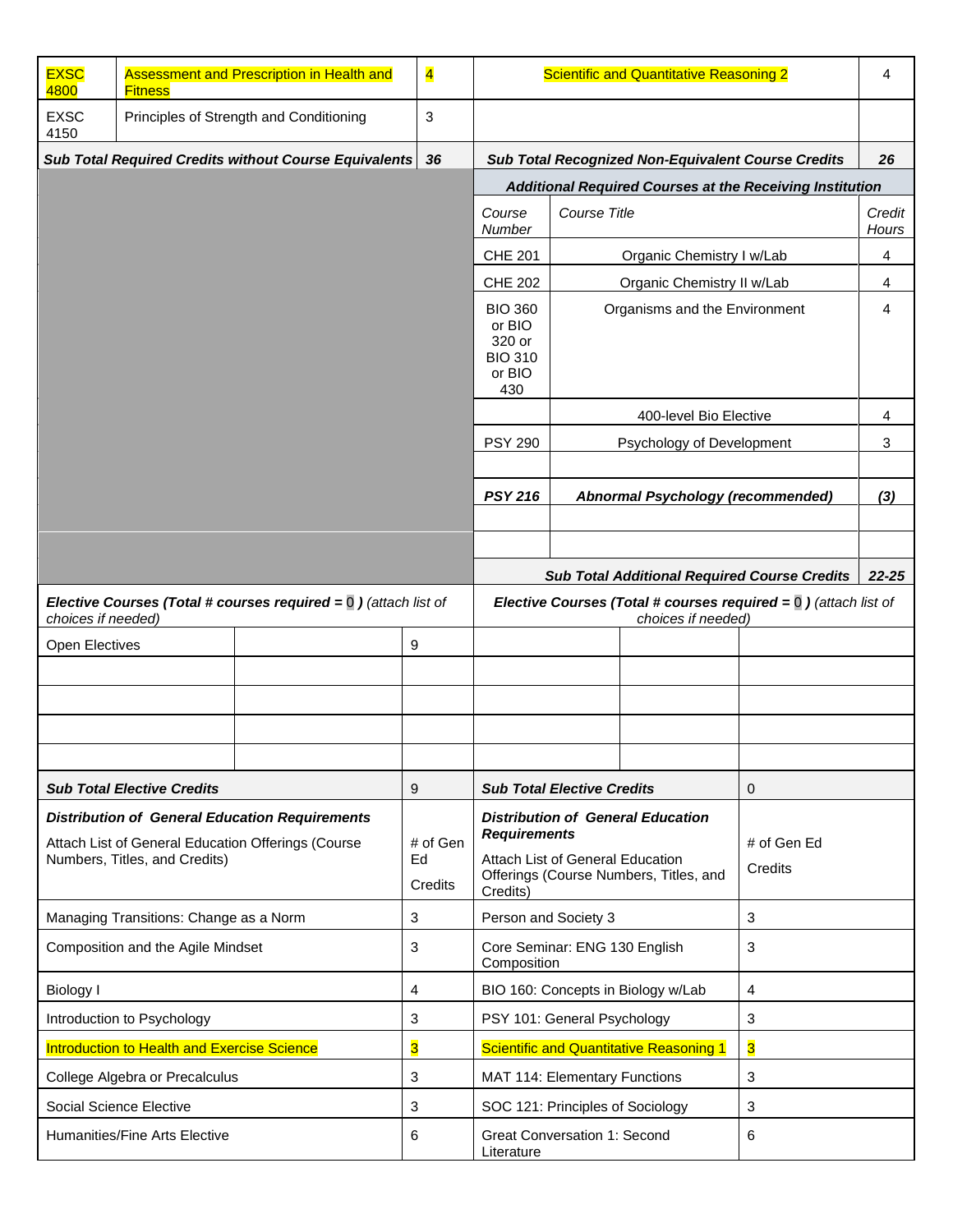| <b>EXSC</b><br>4800                                                                      | <b>Fitness</b>                 | Assessment and Prescription in Health and | $\overline{\mathbf{4}}$                                 | Scientific and Quantitative Reasoning 2                                                                              |                                                           |                                                     |    |                 |
|------------------------------------------------------------------------------------------|--------------------------------|-------------------------------------------|---------------------------------------------------------|----------------------------------------------------------------------------------------------------------------------|-----------------------------------------------------------|-----------------------------------------------------|----|-----------------|
| <b>EXSC</b><br>4150                                                                      |                                | Principles of Strength and Conditioning   | 3                                                       |                                                                                                                      |                                                           |                                                     |    |                 |
| Sub Total Required Credits without Course Equivalents                                    |                                | 36                                        |                                                         |                                                                                                                      | <b>Sub Total Recognized Non-Equivalent Course Credits</b> |                                                     | 26 |                 |
|                                                                                          |                                |                                           |                                                         | Additional Required Courses at the Receiving Institution                                                             |                                                           |                                                     |    |                 |
|                                                                                          |                                |                                           |                                                         | Course<br>Number                                                                                                     | Course Title                                              |                                                     |    | Credit<br>Hours |
|                                                                                          |                                |                                           |                                                         | <b>CHE 201</b>                                                                                                       | Organic Chemistry I w/Lab                                 |                                                     |    | 4               |
|                                                                                          |                                |                                           |                                                         | <b>CHE 202</b>                                                                                                       | Organic Chemistry II w/Lab                                |                                                     |    | 4               |
|                                                                                          |                                |                                           |                                                         | <b>BIO 360</b><br>or BIO<br>320 or<br><b>BIO 310</b><br>or BIO<br>430                                                | Organisms and the Environment                             |                                                     | 4  |                 |
|                                                                                          |                                |                                           |                                                         |                                                                                                                      |                                                           | 400-level Bio Elective                              |    | 4               |
|                                                                                          |                                |                                           |                                                         | <b>PSY 290</b>                                                                                                       |                                                           | Psychology of Development                           |    | 3               |
|                                                                                          |                                |                                           |                                                         |                                                                                                                      |                                                           |                                                     |    |                 |
|                                                                                          |                                |                                           |                                                         | <b>PSY 216</b>                                                                                                       |                                                           | Abnormal Psychology (recommended)                   |    | (3)             |
|                                                                                          |                                |                                           |                                                         |                                                                                                                      |                                                           |                                                     |    |                 |
|                                                                                          |                                |                                           |                                                         |                                                                                                                      |                                                           |                                                     |    |                 |
|                                                                                          |                                |                                           |                                                         |                                                                                                                      |                                                           | <b>Sub Total Additional Required Course Credits</b> |    | $22 - 25$       |
| Elective Courses (Total # courses required $= 0$ ) (attach list of<br>choices if needed) |                                |                                           |                                                         | <b>Elective Courses (Total # courses required = <math>\overline{0}</math>)</b> (attach list of<br>choices if needed) |                                                           |                                                     |    |                 |
| Open Electives                                                                           |                                |                                           | 9                                                       |                                                                                                                      |                                                           |                                                     |    |                 |
|                                                                                          |                                |                                           |                                                         |                                                                                                                      |                                                           |                                                     |    |                 |
|                                                                                          |                                |                                           |                                                         |                                                                                                                      |                                                           |                                                     |    |                 |
|                                                                                          |                                |                                           |                                                         |                                                                                                                      |                                                           |                                                     |    |                 |
|                                                                                          |                                |                                           |                                                         |                                                                                                                      |                                                           |                                                     |    |                 |
| <b>Sub Total Elective Credits</b>                                                        |                                | 9                                         | <b>Sub Total Elective Credits</b>                       |                                                                                                                      | $\mathbf{0}$                                              |                                                     |    |                 |
| <b>Distribution of General Education Requirements</b>                                    |                                |                                           | <b>Distribution of General Education</b>                |                                                                                                                      |                                                           |                                                     |    |                 |
| Attach List of General Education Offerings (Course<br>Numbers, Titles, and Credits)      |                                | # of Gen<br>Ed                            | <b>Requirements</b><br>Attach List of General Education |                                                                                                                      | # of Gen Ed                                               |                                                     |    |                 |
|                                                                                          |                                | Credits                                   | Offerings (Course Numbers, Titles, and<br>Credits)      |                                                                                                                      | Credits                                                   |                                                     |    |                 |
| Managing Transitions: Change as a Norm                                                   |                                | 3                                         | Person and Society 3                                    |                                                                                                                      | 3                                                         |                                                     |    |                 |
| Composition and the Agile Mindset                                                        |                                | 3                                         | 3<br>Core Seminar: ENG 130 English<br>Composition       |                                                                                                                      |                                                           |                                                     |    |                 |
| <b>Biology I</b>                                                                         |                                | 4                                         | BIO 160: Concepts in Biology w/Lab<br>4                 |                                                                                                                      |                                                           |                                                     |    |                 |
| Introduction to Psychology                                                               |                                | 3                                         | PSY 101: General Psychology<br>3                        |                                                                                                                      |                                                           |                                                     |    |                 |
| Introduction to Health and Exercise Science                                              |                                | 3                                         |                                                         | 3<br><b>Scientific and Quantitative Reasoning 1</b>                                                                  |                                                           |                                                     |    |                 |
|                                                                                          | College Algebra or Precalculus |                                           | 3                                                       |                                                                                                                      | 3<br>MAT 114: Elementary Functions                        |                                                     |    |                 |
|                                                                                          | Social Science Elective        |                                           | 3                                                       | SOC 121: Principles of Sociology<br>3                                                                                |                                                           |                                                     |    |                 |
| Humanities/Fine Arts Elective                                                            |                                | 6                                         | <b>Great Conversation 1: Second</b><br>6<br>Literature  |                                                                                                                      |                                                           |                                                     |    |                 |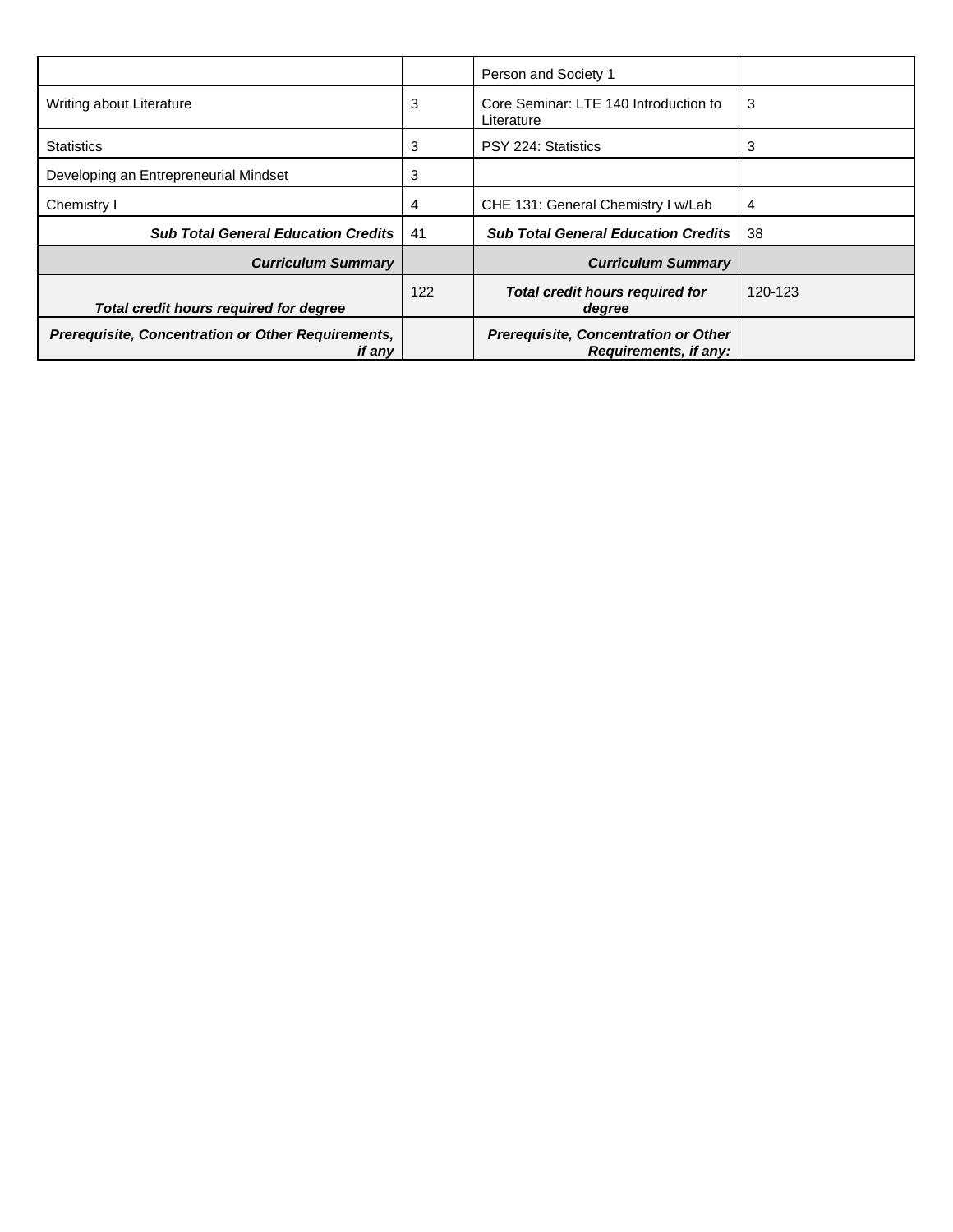|                                                              |     | Person and Society 1                                                 |         |
|--------------------------------------------------------------|-----|----------------------------------------------------------------------|---------|
| Writing about Literature                                     | 3   | Core Seminar: LTE 140 Introduction to<br>Literature                  | 3       |
| <b>Statistics</b>                                            | 3   | PSY 224: Statistics                                                  | 3       |
| Developing an Entrepreneurial Mindset                        | 3   |                                                                      |         |
| Chemistry I                                                  | 4   | CHE 131: General Chemistry I w/Lab                                   | 4       |
| <b>Sub Total General Education Credits</b>                   | 41  | <b>Sub Total General Education Credits</b>                           | 38      |
| <b>Curriculum Summary</b>                                    |     | <b>Curriculum Summary</b>                                            |         |
| Total credit hours required for degree                       | 122 | Total credit hours required for<br>degree                            | 120-123 |
| Prerequisite, Concentration or Other Requirements,<br>if any |     | <b>Prerequisite, Concentration or Other</b><br>Requirements, if any: |         |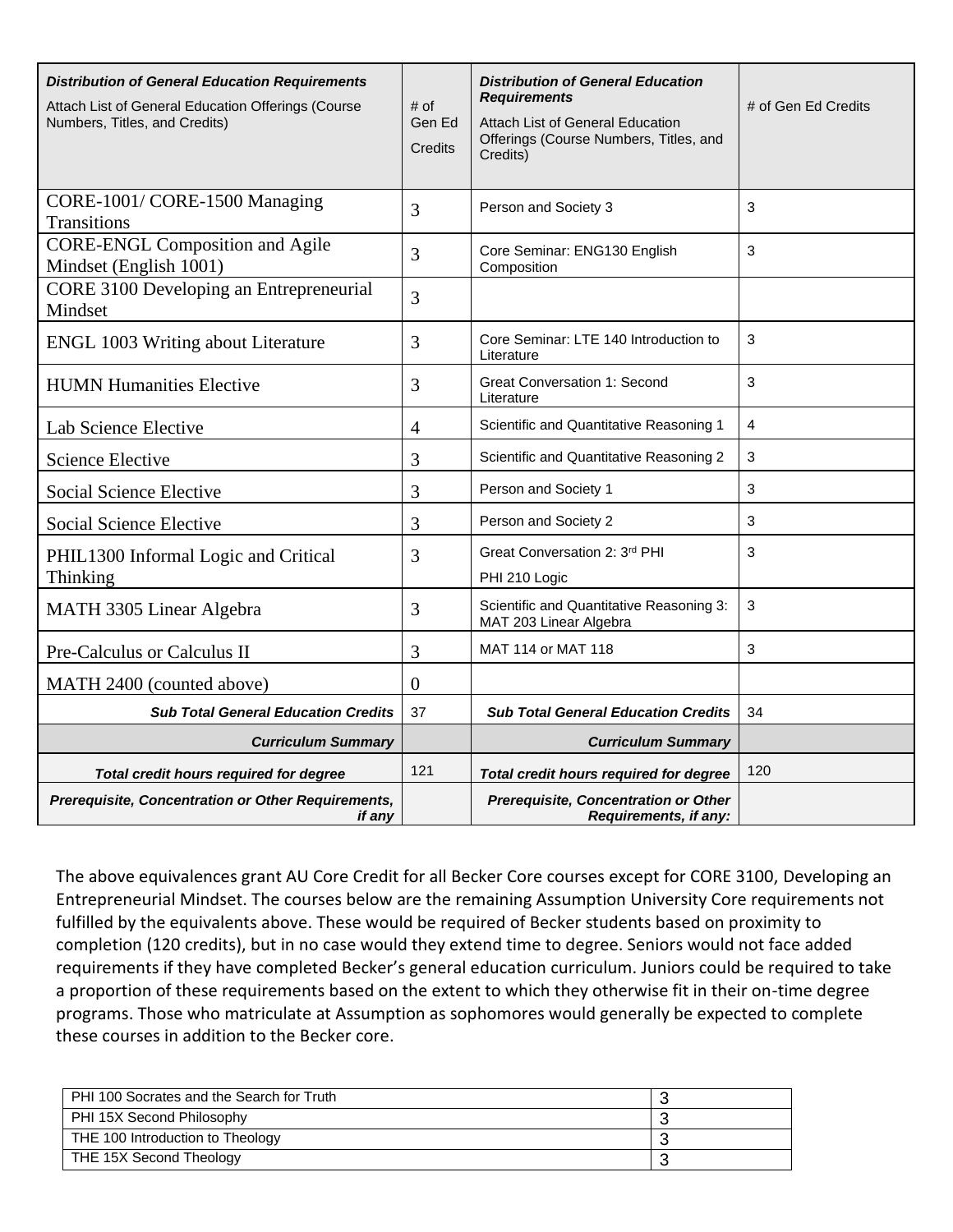| <b>Distribution of General Education Requirements</b><br>Attach List of General Education Offerings (Course<br>Numbers, Titles, and Credits) | # of<br>Gen Ed<br>Credits | <b>Distribution of General Education</b><br><b>Requirements</b><br>Attach List of General Education<br>Offerings (Course Numbers, Titles, and<br>Credits) | # of Gen Ed Credits |
|----------------------------------------------------------------------------------------------------------------------------------------------|---------------------------|-----------------------------------------------------------------------------------------------------------------------------------------------------------|---------------------|
| CORE-1001/CORE-1500 Managing<br><b>Transitions</b>                                                                                           | 3                         | Person and Society 3                                                                                                                                      | 3                   |
| <b>CORE-ENGL Composition and Agile</b><br>Mindset (English 1001)                                                                             | 3                         | Core Seminar: ENG130 English<br>Composition                                                                                                               | 3                   |
| CORE 3100 Developing an Entrepreneurial<br>Mindset                                                                                           | 3                         |                                                                                                                                                           |                     |
| <b>ENGL 1003 Writing about Literature</b>                                                                                                    | 3                         | Core Seminar: LTE 140 Introduction to<br>Literature                                                                                                       | 3                   |
| <b>HUMN Humanities Elective</b>                                                                                                              | 3                         | <b>Great Conversation 1: Second</b><br>Literature                                                                                                         | 3                   |
| Lab Science Elective                                                                                                                         | $\overline{4}$            | Scientific and Quantitative Reasoning 1                                                                                                                   | 4                   |
| <b>Science Elective</b>                                                                                                                      | 3                         | Scientific and Quantitative Reasoning 2                                                                                                                   | 3                   |
| <b>Social Science Elective</b>                                                                                                               | 3                         | Person and Society 1                                                                                                                                      | 3                   |
| <b>Social Science Elective</b>                                                                                                               | 3                         | Person and Society 2                                                                                                                                      | 3                   |
| PHIL1300 Informal Logic and Critical<br>Thinking                                                                                             | 3                         | Great Conversation 2: 3rd PHI<br>PHI 210 Logic                                                                                                            | 3                   |
| MATH 3305 Linear Algebra                                                                                                                     | 3                         | Scientific and Quantitative Reasoning 3:<br>MAT 203 Linear Algebra                                                                                        | 3                   |
| Pre-Calculus or Calculus II                                                                                                                  | 3                         | MAT 114 or MAT 118                                                                                                                                        | 3                   |
| MATH 2400 (counted above)                                                                                                                    | $\overline{0}$            |                                                                                                                                                           |                     |
| <b>Sub Total General Education Credits</b>                                                                                                   | 37                        | <b>Sub Total General Education Credits</b>                                                                                                                | 34                  |
| <b>Curriculum Summary</b>                                                                                                                    |                           | <b>Curriculum Summary</b>                                                                                                                                 |                     |
| Total credit hours required for degree                                                                                                       | 121                       | Total credit hours required for degree                                                                                                                    | 120                 |
| Prerequisite, Concentration or Other Requirements,<br>if any                                                                                 |                           | Prerequisite, Concentration or Other<br>Requirements, if any:                                                                                             |                     |

The above equivalences grant AU Core Credit for all Becker Core courses except for CORE 3100, Developing an Entrepreneurial Mindset. The courses below are the remaining Assumption University Core requirements not fulfilled by the equivalents above. These would be required of Becker students based on proximity to completion (120 credits), but in no case would they extend time to degree. Seniors would not face added requirements if they have completed Becker's general education curriculum. Juniors could be required to take a proportion of these requirements based on the extent to which they otherwise fit in their on-time degree programs. Those who matriculate at Assumption as sophomores would generally be expected to complete these courses in addition to the Becker core.

| PHI 100 Socrates and the Search for Truth |  |
|-------------------------------------------|--|
| PHI 15X Second Philosophy                 |  |
| THE 100 Introduction to Theology          |  |
| THE 15X Second Theology                   |  |